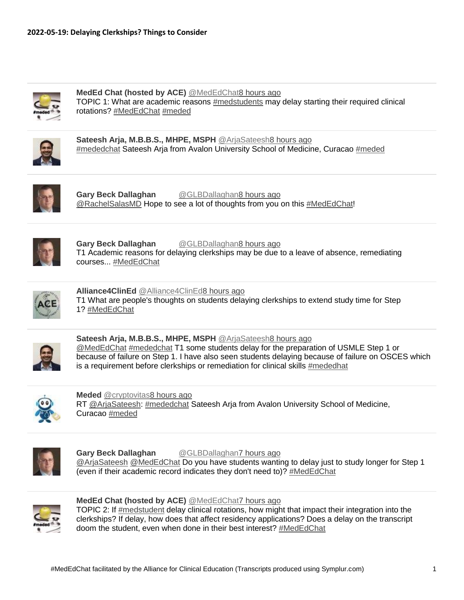

**MedEd Chat (hosted by ACE)** [@MedEdChat8 hours ago](https://twitter.com/intent/user?screen_name=MedEdChat) TOPIC 1: What are academic reasons [#medstudents](https://www.symplur.com/healthcare-hashtags/medstudents/) may delay starting their required clinical rotations? [#MedEdChat](https://www.symplur.com/healthcare-hashtags/MedEdChat/) [#meded](https://www.symplur.com/healthcare-hashtags/meded/)



**Sateesh Arja, M.B.B.S., MHPE, MSPH** [@ArjaSateesh8 hours ago](https://twitter.com/intent/user?screen_name=ArjaSateesh) [#mededchat](https://www.symplur.com/healthcare-hashtags/mededchat/) Sateesh Arja from Avalon University School of Medicine, Curacao [#meded](https://www.symplur.com/healthcare-hashtags/meded/)



**Gary Beck Dallaghan** [@GLBDallaghan8 hours ago](https://twitter.com/intent/user?screen_name=GLBDallaghan) [@RachelSalasMD](http://www.twitter.com/intent/user?screen_name=RachelSalasMD) Hope to see a lot of thoughts from you on this [#MedEdChat!](https://www.symplur.com/healthcare-hashtags/MedEdChat/)



**Gary Beck Dallaghan** [@GLBDallaghan8 hours ago](https://twitter.com/intent/user?screen_name=GLBDallaghan) T1 Academic reasons for delaying clerkships may be due to a leave of absence, remediating courses... [#MedEdChat](https://www.symplur.com/healthcare-hashtags/MedEdChat/)



**Alliance4ClinEd** [@Alliance4ClinEd8 hours ago](https://twitter.com/intent/user?screen_name=Alliance4ClinEd) T1 What are people's thoughts on students delaying clerkships to extend study time for Step 1? [#MedEdChat](https://www.symplur.com/healthcare-hashtags/MedEdChat/)



**Sateesh Arja, M.B.B.S., MHPE, MSPH** [@ArjaSateesh8 hours ago](https://twitter.com/intent/user?screen_name=ArjaSateesh) [@MedEdChat](http://www.twitter.com/intent/user?screen_name=MedEdChat) [#mededchat](https://www.symplur.com/healthcare-hashtags/mededchat/) T1 some students delay for the preparation of USMLE Step 1 or because of failure on Step 1. I have also seen students delaying because of failure on OSCES which is a requirement before clerkships or remediation for clinical skills [#mededhat](https://twitter.com/hashtag/mededhat/)



**Meded** [@cryptovitas8 hours ago](https://twitter.com/intent/user?screen_name=cryptovitas) RT [@ArjaSateesh:](http://www.twitter.com/intent/user?screen_name=ArjaSateesh) [#mededchat](https://www.symplur.com/healthcare-hashtags/mededchat/) Sateesh Arja from Avalon University School of Medicine, Curacao [#meded](https://www.symplur.com/healthcare-hashtags/meded/)



**Gary Beck Dallaghan** [@GLBDallaghan7 hours ago](https://twitter.com/intent/user?screen_name=GLBDallaghan) [@ArjaSateesh](http://www.twitter.com/intent/user?screen_name=ArjaSateesh) [@MedEdChat](http://www.twitter.com/intent/user?screen_name=MedEdChat) Do you have students wanting to delay just to study longer for Step 1 (even if their academic record indicates they don't need to)? [#MedEdChat](https://www.symplur.com/healthcare-hashtags/MedEdChat/)



**MedEd Chat (hosted by ACE)** [@MedEdChat7 hours ago](https://twitter.com/intent/user?screen_name=MedEdChat)

TOPIC 2: If [#medstudent](https://www.symplur.com/healthcare-hashtags/medstudent/) delay clinical rotations, how might that impact their integration into the clerkships? If delay, how does that affect residency applications? Does a delay on the transcript doom the student, even when done in their best interest? [#MedEdChat](https://www.symplur.com/healthcare-hashtags/MedEdChat/)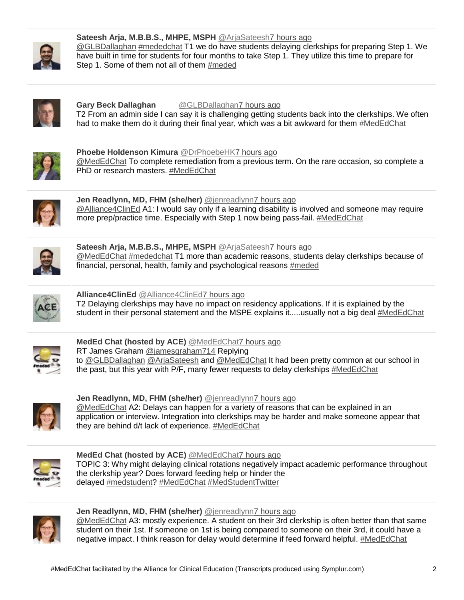

**Sateesh Arja, M.B.B.S., MHPE, MSPH** [@ArjaSateesh7 hours ago](https://twitter.com/intent/user?screen_name=ArjaSateesh) [@GLBDallaghan](http://www.twitter.com/intent/user?screen_name=GLBDallaghan) [#mededchat](https://www.symplur.com/healthcare-hashtags/mededchat/) T1 we do have students delaying clerkships for preparing Step 1. We have built in time for students for four months to take Step 1. They utilize this time to prepare for Step 1. Some of them not all of them [#meded](https://www.symplur.com/healthcare-hashtags/meded/)



**Gary Beck Dallaghan** [@GLBDallaghan7 hours ago](https://twitter.com/intent/user?screen_name=GLBDallaghan) T2 From an admin side I can say it is challenging getting students back into the clerkships. We often

had to make them do it during their final year, which was a bit awkward for them [#MedEdChat](https://www.symplur.com/healthcare-hashtags/MedEdChat/)



**Phoebe Holdenson Kimura** [@DrPhoebeHK7 hours ago](https://twitter.com/intent/user?screen_name=DrPhoebeHK) [@MedEdChat](http://www.twitter.com/intent/user?screen_name=MedEdChat) To complete remediation from a previous term. On the rare occasion, so complete a PhD or research masters. [#MedEdChat](https://www.symplur.com/healthcare-hashtags/MedEdChat/)



**Jen Readlynn, MD, FHM (she/her)** [@jenreadlynn7 hours ago](https://twitter.com/intent/user?screen_name=jenreadlynn) [@Alliance4ClinEd](http://www.twitter.com/intent/user?screen_name=Alliance4ClinEd) A1: I would say only if a learning disability is involved and someone may require more prep/practice time. Especially with Step 1 now being pass-fail. [#MedEdChat](https://www.symplur.com/healthcare-hashtags/MedEdChat/)



**Sateesh Arja, M.B.B.S., MHPE, MSPH** [@ArjaSateesh7 hours ago](https://twitter.com/intent/user?screen_name=ArjaSateesh) [@MedEdChat](http://www.twitter.com/intent/user?screen_name=MedEdChat) [#mededchat](https://www.symplur.com/healthcare-hashtags/mededchat/) T1 more than academic reasons, students delay clerkships because of financial, personal, health, family and psychological reasons [#meded](https://www.symplur.com/healthcare-hashtags/meded/)



**Alliance4ClinEd** [@Alliance4ClinEd7 hours ago](https://twitter.com/intent/user?screen_name=Alliance4ClinEd) T2 Delaying clerkships may have no impact on residency applications. If it is explained by the student in their personal statement and the MSPE explains it.....usually not a big deal [#MedEdChat](https://www.symplur.com/healthcare-hashtags/MedEdChat/)



**MedEd Chat (hosted by ACE)** [@MedEdChat7 hours ago](https://twitter.com/intent/user?screen_name=MedEdChat) RT James Graham [@jamesgraham714](http://www.twitter.com/intent/user?screen_name=jamesgraham714) Replying

to [@GLBDallaghan](http://www.twitter.com/intent/user?screen_name=GLBDallaghan) [@ArjaSateesh](http://www.twitter.com/intent/user?screen_name=ArjaSateesh) and [@MedEdChat](http://www.twitter.com/intent/user?screen_name=MedEdChat) It had been pretty common at our school in the past, but this year with P/F, many fewer requests to delay clerkships [#MedEdChat](https://www.symplur.com/healthcare-hashtags/MedEdChat/)



**Jen Readlynn, MD, FHM (she/her)** [@jenreadlynn7 hours ago](https://twitter.com/intent/user?screen_name=jenreadlynn) [@MedEdChat](http://www.twitter.com/intent/user?screen_name=MedEdChat) A2: Delays can happen for a variety of reasons that can be explained in an application or interview. Integration into clerkships may be harder and make someone appear that they are behind d/t lack of experience. [#MedEdChat](https://www.symplur.com/healthcare-hashtags/MedEdChat/)



**MedEd Chat (hosted by ACE)** [@MedEdChat7 hours ago](https://twitter.com/intent/user?screen_name=MedEdChat) TOPIC 3: Why might delaying clinical rotations negatively impact academic performance throughout the clerkship year? Does forward feeding help or hinder the delayed [#medstudent?](https://www.symplur.com/healthcare-hashtags/medstudent/) [#MedEdChat](https://www.symplur.com/healthcare-hashtags/MedEdChat/) [#MedStudentTwitter](https://www.symplur.com/healthcare-hashtags/MedStudentTwitter/)



**Jen Readlynn, MD, FHM (she/her)** [@jenreadlynn7 hours ago](https://twitter.com/intent/user?screen_name=jenreadlynn)

[@MedEdChat](http://www.twitter.com/intent/user?screen_name=MedEdChat) A3: mostly experience. A student on their 3rd clerkship is often better than that same student on their 1st. If someone on 1st is being compared to someone on their 3rd, it could have a negative impact. I think reason for delay would determine if feed forward helpful. [#MedEdChat](https://www.symplur.com/healthcare-hashtags/MedEdChat/)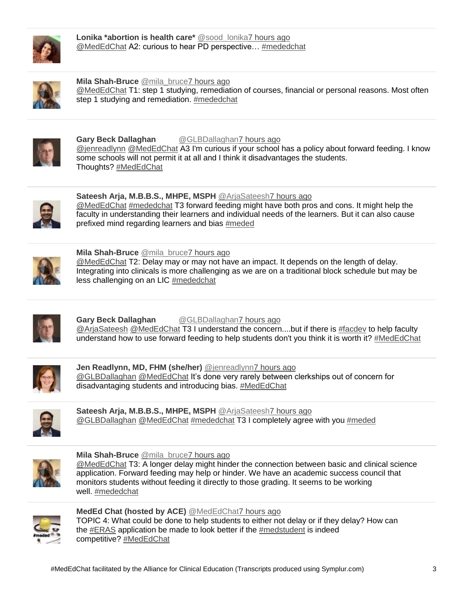

**Lonika \*abortion is health care\*** @sood lonika7 hours ago [@MedEdChat](http://www.twitter.com/intent/user?screen_name=MedEdChat) A2: curious to hear PD perspective… [#mededchat](https://www.symplur.com/healthcare-hashtags/mededchat/)



**Mila Shah-Bruce** [@mila\\_bruce7 hours ago](https://twitter.com/intent/user?screen_name=mila_bruce) [@MedEdChat](http://www.twitter.com/intent/user?screen_name=MedEdChat) T1: step 1 studying, remediation of courses, financial or personal reasons. Most often step 1 studying and remediation. [#mededchat](https://www.symplur.com/healthcare-hashtags/mededchat/)



**Gary Beck Dallaghan** [@GLBDallaghan7 hours ago](https://twitter.com/intent/user?screen_name=GLBDallaghan) [@jenreadlynn](http://www.twitter.com/intent/user?screen_name=jenreadlynn) [@MedEdChat](http://www.twitter.com/intent/user?screen_name=MedEdChat) A3 I'm curious if your school has a policy about forward feeding. I know some schools will not permit it at all and I think it disadvantages the students. Thoughts? [#MedEdChat](https://www.symplur.com/healthcare-hashtags/MedEdChat/)



**Sateesh Arja, M.B.B.S., MHPE, MSPH** [@ArjaSateesh7 hours ago](https://twitter.com/intent/user?screen_name=ArjaSateesh) [@MedEdChat](http://www.twitter.com/intent/user?screen_name=MedEdChat) [#mededchat](https://www.symplur.com/healthcare-hashtags/mededchat/) T3 forward feeding might have both pros and cons. It might help the faculty in understanding their learners and individual needs of the learners. But it can also cause prefixed mind regarding learners and bias [#meded](https://www.symplur.com/healthcare-hashtags/meded/)



**Mila Shah-Bruce** [@mila\\_bruce7 hours ago](https://twitter.com/intent/user?screen_name=mila_bruce)

[@MedEdChat](http://www.twitter.com/intent/user?screen_name=MedEdChat) T2: Delay may or may not have an impact. It depends on the length of delay. Integrating into clinicals is more challenging as we are on a traditional block schedule but may be less challenging on an LIC [#mededchat](https://www.symplur.com/healthcare-hashtags/mededchat/)



**Gary Beck Dallaghan** [@GLBDallaghan7 hours ago](https://twitter.com/intent/user?screen_name=GLBDallaghan) [@ArjaSateesh](http://www.twitter.com/intent/user?screen_name=ArjaSateesh) [@MedEdChat](http://www.twitter.com/intent/user?screen_name=MedEdChat) T3 I understand the concern....but if there is [#facdev](https://twitter.com/hashtag/facdev/) to help faculty understand how to use forward feeding to help students don't you think it is worth it? [#MedEdChat](https://www.symplur.com/healthcare-hashtags/MedEdChat/)



**Jen Readlynn, MD, FHM (she/her)** [@jenreadlynn7 hours ago](https://twitter.com/intent/user?screen_name=jenreadlynn) [@GLBDallaghan](http://www.twitter.com/intent/user?screen_name=GLBDallaghan) [@MedEdChat](http://www.twitter.com/intent/user?screen_name=MedEdChat) It's done very rarely between clerkships out of concern for disadvantaging students and introducing bias. [#MedEdChat](https://www.symplur.com/healthcare-hashtags/MedEdChat/) 

**Sateesh Arja, M.B.B.S., MHPE, MSPH** [@ArjaSateesh7 hours ago](https://twitter.com/intent/user?screen_name=ArjaSateesh) [@GLBDallaghan](http://www.twitter.com/intent/user?screen_name=GLBDallaghan) [@MedEdChat](http://www.twitter.com/intent/user?screen_name=MedEdChat) [#mededchat](https://www.symplur.com/healthcare-hashtags/mededchat/) T3 I completely agree with you [#meded](https://www.symplur.com/healthcare-hashtags/meded/) 



**Mila Shah-Bruce** [@mila\\_bruce7 hours ago](https://twitter.com/intent/user?screen_name=mila_bruce)

[@MedEdChat](http://www.twitter.com/intent/user?screen_name=MedEdChat) T3: A longer delay might hinder the connection between basic and clinical science application. Forward feeding may help or hinder. We have an academic success council that monitors students without feeding it directly to those grading. It seems to be working well. [#mededchat](https://www.symplur.com/healthcare-hashtags/mededchat/) 



**MedEd Chat (hosted by ACE)** [@MedEdChat7 hours ago](https://twitter.com/intent/user?screen_name=MedEdChat) TOPIC 4: What could be done to help students to either not delay or if they delay? How can

the [#ERAS](https://www.symplur.com/healthcare-hashtags/ERAS/) application be made to look better if the [#medstudent](https://www.symplur.com/healthcare-hashtags/medstudent/) is indeed competitive? [#MedEdChat](https://www.symplur.com/healthcare-hashtags/MedEdChat/)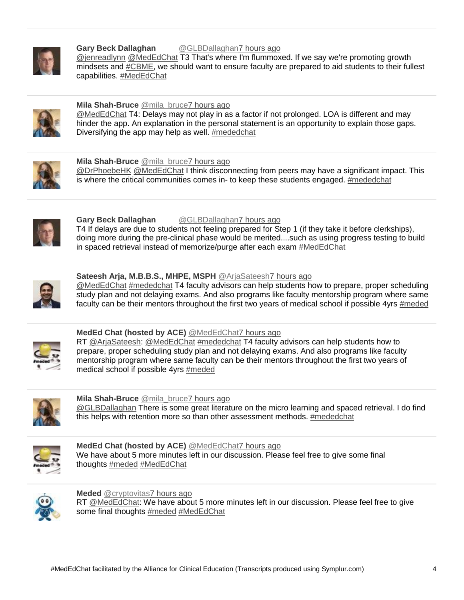

#### **Gary Beck Dallaghan** [@GLBDallaghan7 hours ago](https://twitter.com/intent/user?screen_name=GLBDallaghan) [@jenreadlynn](http://www.twitter.com/intent/user?screen_name=jenreadlynn) [@MedEdChat](http://www.twitter.com/intent/user?screen_name=MedEdChat) T3 That's where I'm flummoxed. If we say we're promoting growth mindsets and **#CBME**, we should want to ensure faculty are prepared to aid students to their fullest capabilities. [#MedEdChat](https://www.symplur.com/healthcare-hashtags/MedEdChat/)



#### **Mila Shah-Bruce** [@mila\\_bruce7 hours ago](https://twitter.com/intent/user?screen_name=mila_bruce)

[@MedEdChat](http://www.twitter.com/intent/user?screen_name=MedEdChat) T4: Delays may not play in as a factor if not prolonged. LOA is different and may hinder the app. An explanation in the personal statement is an opportunity to explain those gaps. Diversifying the app may help as well. [#mededchat](https://www.symplur.com/healthcare-hashtags/mededchat/)



#### **Mila Shah-Bruce** [@mila\\_bruce7 hours ago](https://twitter.com/intent/user?screen_name=mila_bruce)

[@DrPhoebeHK](http://www.twitter.com/intent/user?screen_name=DrPhoebeHK) [@MedEdChat](http://www.twitter.com/intent/user?screen_name=MedEdChat) I think disconnecting from peers may have a significant impact. This is where the critical communities comes in- to keep these students engaged. [#mededchat](https://www.symplur.com/healthcare-hashtags/mededchat/)



## **Gary Beck Dallaghan** [@GLBDallaghan7 hours ago](https://twitter.com/intent/user?screen_name=GLBDallaghan)

T4 If delays are due to students not feeling prepared for Step 1 (if they take it before clerkships), doing more during the pre-clinical phase would be merited....such as using progress testing to build in spaced retrieval instead of memorize/purge after each exam [#MedEdChat](https://www.symplur.com/healthcare-hashtags/MedEdChat/)



## **Sateesh Arja, M.B.B.S., MHPE, MSPH** [@ArjaSateesh7 hours ago](https://twitter.com/intent/user?screen_name=ArjaSateesh)

[@MedEdChat](http://www.twitter.com/intent/user?screen_name=MedEdChat) [#mededchat](https://www.symplur.com/healthcare-hashtags/mededchat/) T4 faculty advisors can help students how to prepare, proper scheduling study plan and not delaying exams. And also programs like faculty mentorship program where same faculty can be their mentors throughout the first two years of medical school if possible 4yrs [#meded](https://www.symplur.com/healthcare-hashtags/meded/)



# **MedEd Chat (hosted by ACE)** [@MedEdChat7 hours ago](https://twitter.com/intent/user?screen_name=MedEdChat)

RT [@ArjaSateesh:](http://www.twitter.com/intent/user?screen_name=ArjaSateesh) [@MedEdChat](http://www.twitter.com/intent/user?screen_name=MedEdChat) [#mededchat](https://www.symplur.com/healthcare-hashtags/mededchat/) T4 faculty advisors can help students how to prepare, proper scheduling study plan and not delaying exams. And also programs like faculty mentorship program where same faculty can be their mentors throughout the first two years of medical school if possible 4yrs [#meded](https://www.symplur.com/healthcare-hashtags/meded/)



## **Mila Shah-Bruce** [@mila\\_bruce7 hours ago](https://twitter.com/intent/user?screen_name=mila_bruce)

[@GLBDallaghan](http://www.twitter.com/intent/user?screen_name=GLBDallaghan) There is some great literature on the micro learning and spaced retrieval. I do find this helps with retention more so than other assessment methods. [#mededchat](https://www.symplur.com/healthcare-hashtags/mededchat/)



#### **MedEd Chat (hosted by ACE)** [@MedEdChat7 hours ago](https://twitter.com/intent/user?screen_name=MedEdChat) We have about 5 more minutes left in our discussion. Please feel free to give some final thoughts [#meded](https://www.symplur.com/healthcare-hashtags/meded/) [#MedEdChat](https://www.symplur.com/healthcare-hashtags/MedEdChat/)



**Meded** [@cryptovitas7 hours ago](https://twitter.com/intent/user?screen_name=cryptovitas) RT [@MedEdChat:](http://www.twitter.com/intent/user?screen_name=MedEdChat) We have about 5 more minutes left in our discussion. Please feel free to give some final thoughts [#meded](https://www.symplur.com/healthcare-hashtags/meded/) [#MedEdChat](https://www.symplur.com/healthcare-hashtags/MedEdChat/)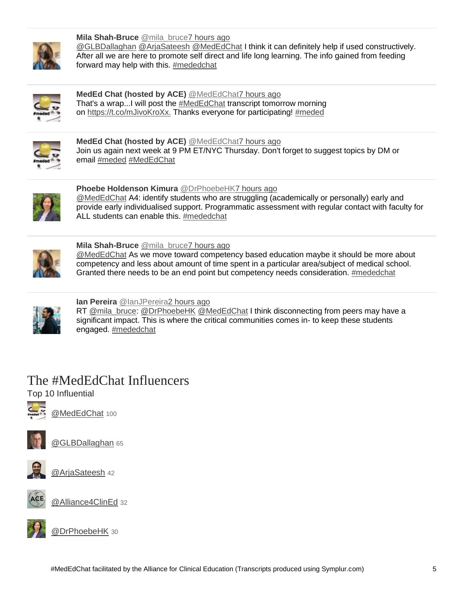

**Mila Shah-Bruce** [@mila\\_bruce7 hours ago](https://twitter.com/intent/user?screen_name=mila_bruce) [@GLBDallaghan](http://www.twitter.com/intent/user?screen_name=GLBDallaghan) [@ArjaSateesh](http://www.twitter.com/intent/user?screen_name=ArjaSateesh) [@MedEdChat](http://www.twitter.com/intent/user?screen_name=MedEdChat) I think it can definitely help if used constructively. After all we are here to promote self direct and life long learning. The info gained from feeding forward may help with this. [#mededchat](https://www.symplur.com/healthcare-hashtags/mededchat/)



**MedEd Chat (hosted by ACE)** [@MedEdChat7 hours ago](https://twitter.com/intent/user?screen_name=MedEdChat) That's a wrap...I will post the [#MedEdChat](https://www.symplur.com/healthcare-hashtags/MedEdChat/) transcript tomorrow morning on <https://t.co/mJivoKroXx.> Thanks everyone for participating! [#meded](https://www.symplur.com/healthcare-hashtags/meded/)



**MedEd Chat (hosted by ACE)** [@MedEdChat7 hours ago](https://twitter.com/intent/user?screen_name=MedEdChat) Join us again next week at 9 PM ET/NYC Thursday. Don't forget to suggest topics by DM or email [#meded](https://www.symplur.com/healthcare-hashtags/meded/) [#MedEdChat](https://www.symplur.com/healthcare-hashtags/MedEdChat/)



**Phoebe Holdenson Kimura** [@DrPhoebeHK7 hours ago](https://twitter.com/intent/user?screen_name=DrPhoebeHK) [@MedEdChat](http://www.twitter.com/intent/user?screen_name=MedEdChat) A4: identify students who are struggling (academically or personally) early and provide early individualised support. Programmatic assessment with regular contact with faculty for ALL students can enable this. [#mededchat](https://www.symplur.com/healthcare-hashtags/mededchat/)



**Mila Shah-Bruce** [@mila\\_bruce7 hours ago](https://twitter.com/intent/user?screen_name=mila_bruce)

[@MedEdChat](http://www.twitter.com/intent/user?screen_name=MedEdChat) As we move toward competency based education maybe it should be more about competency and less about amount of time spent in a particular area/subject of medical school. Granted there needs to be an end point but competency needs consideration. [#mededchat](https://www.symplur.com/healthcare-hashtags/mededchat/)



**Ian Pereira** [@IanJPereira2 hours ago](https://twitter.com/intent/user?screen_name=IanJPereira)

RT [@mila\\_bruce:](http://www.twitter.com/intent/user?screen_name=mila_bruce) [@DrPhoebeHK](http://www.twitter.com/intent/user?screen_name=DrPhoebeHK) [@MedEdChat](http://www.twitter.com/intent/user?screen_name=MedEdChat) I think disconnecting from peers may have a significant impact. This is where the critical communities comes in- to keep these students engaged. [#mededchat](https://www.symplur.com/healthcare-hashtags/mededchat/)

# The #MedEdChat Influencers

Top 10 Influential



[@MedEdChat](https://twitter.com/intent/user?screen_name=MedEdChat) 100



[@GLBDallaghan](https://twitter.com/intent/user?screen_name=GLBDallaghan) 65



@AriaSateesh 42



[@Alliance4ClinEd](https://twitter.com/intent/user?screen_name=Alliance4ClinEd) 32



[@DrPhoebeHK](https://twitter.com/intent/user?screen_name=DrPhoebeHK) 30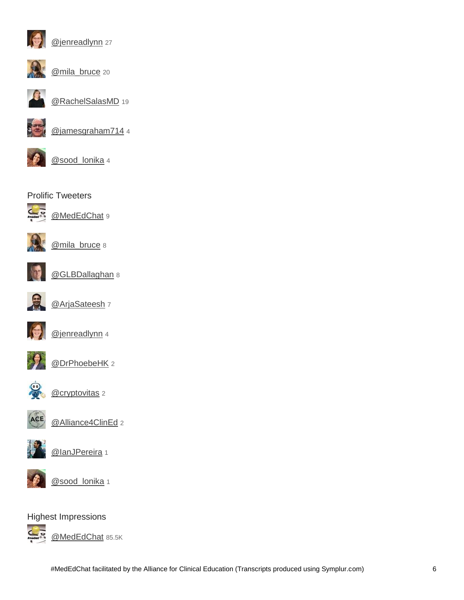

[@jenreadlynn](https://twitter.com/intent/user?screen_name=jenreadlynn) 27



[@mila\\_bruce](https://twitter.com/intent/user?screen_name=mila_bruce) 20



[@RachelSalasMD](https://twitter.com/intent/user?screen_name=RachelSalasMD) 19



[@jamesgraham714](https://twitter.com/intent/user?screen_name=jamesgraham714) 4



[@sood\\_lonika](https://twitter.com/intent/user?screen_name=sood_lonika) 4







[@mila\\_bruce](https://twitter.com/intent/user?screen_name=mila_bruce) 8

[@MedEdChat](https://twitter.com/intent/user?screen_name=MedEdChat) 9



[@GLBDallaghan](https://twitter.com/intent/user?screen_name=GLBDallaghan) 8



[@ArjaSateesh](https://twitter.com/intent/user?screen_name=ArjaSateesh) 7



[@jenreadlynn](https://twitter.com/intent/user?screen_name=jenreadlynn) 4



[@DrPhoebeHK](https://twitter.com/intent/user?screen_name=DrPhoebeHK) 2



[@cryptovitas](https://twitter.com/intent/user?screen_name=cryptovitas) 2





@lanJPereira 1

[@Alliance4ClinEd](https://twitter.com/intent/user?screen_name=Alliance4ClinEd) 2



[@sood\\_lonika](https://twitter.com/intent/user?screen_name=sood_lonika) 1